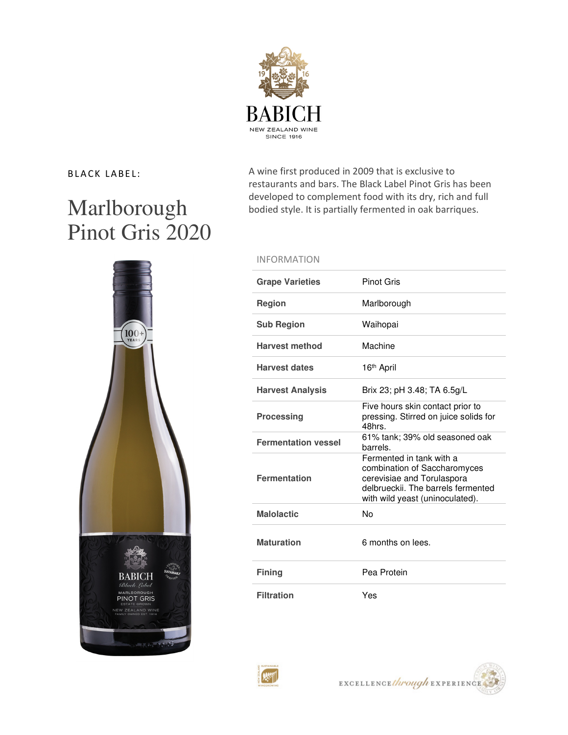

# Marlborough Pinot Gris 2020

BLACK LABEL: A wine first produced in 2009 that is exclusive to restaurants and bars. The Black Label Pinot Gris has been developed to complement food with its dry, rich and full bodied style. It is partially fermented in oak barriques.

## INFORMATION

| <b>Grape Varieties</b>     | <b>Pinot Gris</b>                                                                                                                                               |
|----------------------------|-----------------------------------------------------------------------------------------------------------------------------------------------------------------|
| <b>Region</b>              | Marlborough                                                                                                                                                     |
| <b>Sub Region</b>          | Waihopai                                                                                                                                                        |
| <b>Harvest method</b>      | Machine                                                                                                                                                         |
| <b>Harvest dates</b>       | 16th April                                                                                                                                                      |
| <b>Harvest Analysis</b>    | Brix 23; pH 3.48; TA 6.5g/L                                                                                                                                     |
| <b>Processing</b>          | Five hours skin contact prior to<br>pressing. Stirred on juice solids for<br>48hrs                                                                              |
| <b>Fermentation vessel</b> | 61% tank; 39% old seasoned oak<br>barrels.                                                                                                                      |
| <b>Fermentation</b>        | Fermented in tank with a<br>combination of Saccharomyces<br>cerevisiae and Torulaspora<br>delbrueckij. The barrels fermented<br>with wild yeast (uninoculated). |
| <b>Malolactic</b>          | No                                                                                                                                                              |
| <b>Maturation</b>          | 6 months on lees.                                                                                                                                               |
| <b>Fining</b>              | Pea Protein                                                                                                                                                     |
| <b>Filtration</b>          | Yes                                                                                                                                                             |